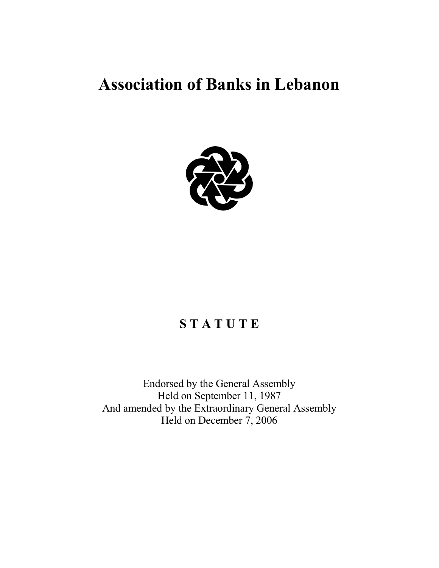# **Association of Banks in Lebanon**



## **S T A T U T E**

Endorsed by the General Assembly Held on September 11, 1987 And amended by the Extraordinary General Assembly Held on December 7, 2006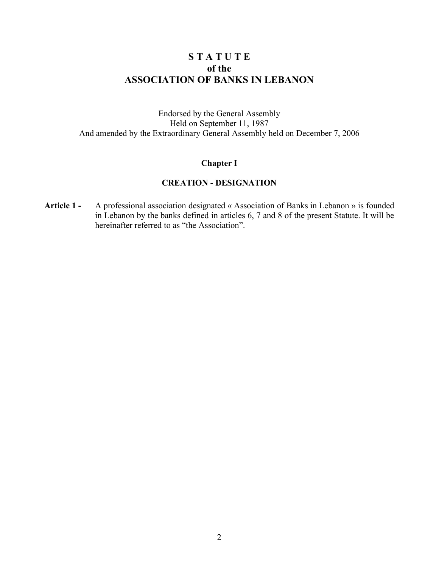## **S T A T U T E of the ASSOCIATION OF BANKS IN LEBANON**

Endorsed by the General Assembly Held on September 11, 1987 And amended by the Extraordinary General Assembly held on December 7, 2006

## **Chapter I**

## **CREATION - DESIGNATION**

**Article 1 -** A professional association designated « Association of Banks in Lebanon » is founded in Lebanon by the banks defined in articles 6, 7 and 8 of the present Statute. It will be hereinafter referred to as "the Association".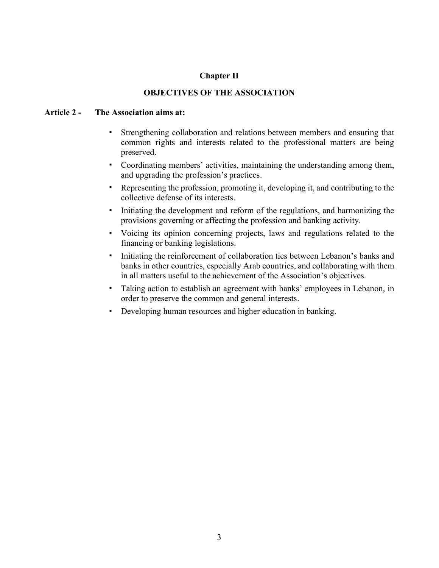## **Chapter II**

## **OBJECTIVES OF THE ASSOCIATION**

## **Article 2 - The Association aims at:**

- ! Strengthening collaboration and relations between members and ensuring that common rights and interests related to the professional matters are being preserved.
- ! Coordinating members' activities, maintaining the understanding among them, and upgrading the profession's practices.
- ! Representing the profession, promoting it, developing it, and contributing to the collective defense of its interests.
- ! Initiating the development and reform of the regulations, and harmonizing the provisions governing or affecting the profession and banking activity.
- ! Voicing its opinion concerning projects, laws and regulations related to the financing or banking legislations.
- ! Initiating the reinforcement of collaboration ties between Lebanon's banks and banks in other countries, especially Arab countries, and collaborating with them in all matters useful to the achievement of the Association's objectives.
- ! Taking action to establish an agreement with banks' employees in Lebanon, in order to preserve the common and general interests.
- ! Developing human resources and higher education in banking.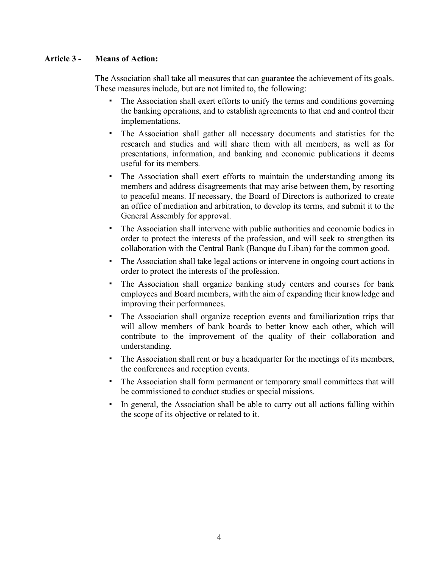## **Article 3 - Means of Action:**

The Association shall take all measures that can guarantee the achievement of its goals. These measures include, but are not limited to, the following:

- ! The Association shall exert efforts to unify the terms and conditions governing the banking operations, and to establish agreements to that end and control their implementations.
- ! The Association shall gather all necessary documents and statistics for the research and studies and will share them with all members, as well as for presentations, information, and banking and economic publications it deems useful for its members.
- ! The Association shall exert efforts to maintain the understanding among its members and address disagreements that may arise between them, by resorting to peaceful means. If necessary, the Board of Directors is authorized to create an office of mediation and arbitration, to develop its terms, and submit it to the General Assembly for approval.
- ! The Association shall intervene with public authorities and economic bodies in order to protect the interests of the profession, and will seek to strengthen its collaboration with the Central Bank (Banque du Liban) for the common good.
- ! The Association shall take legal actions or intervene in ongoing court actions in order to protect the interests of the profession.
- The Association shall organize banking study centers and courses for bank employees and Board members, with the aim of expanding their knowledge and improving their performances.
- ! The Association shall organize reception events and familiarization trips that will allow members of bank boards to better know each other, which will contribute to the improvement of the quality of their collaboration and understanding.
- ! The Association shall rent or buy a headquarter for the meetings of its members, the conferences and reception events.
- ! The Association shall form permanent or temporary small committees that will be commissioned to conduct studies or special missions.
- In general, the Association shall be able to carry out all actions falling within the scope of its objective or related to it.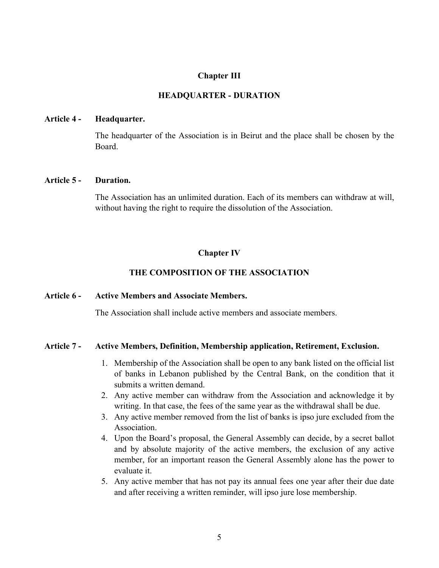## **Chapter III**

## **HEADQUARTER - DURATION**

#### **Article 4 - Headquarter.**

The headquarter of the Association is in Beirut and the place shall be chosen by the Board.

#### **Article 5 - Duration.**

The Association has an unlimited duration. Each of its members can withdraw at will, without having the right to require the dissolution of the Association.

## **Chapter IV**

## **THE COMPOSITION OF THE ASSOCIATION**

## **Article 6 - Active Members and Associate Members.**

The Association shall include active members and associate members.

#### **Article 7 - Active Members, Definition, Membership application, Retirement, Exclusion.**

- 1. Membership of the Association shall be open to any bank listed on the official list of banks in Lebanon published by the Central Bank, on the condition that it submits a written demand.
- 2. Any active member can withdraw from the Association and acknowledge it by writing. In that case, the fees of the same year as the withdrawal shall be due.
- 3. Any active member removed from the list of banks is ipso jure excluded from the Association.
- 4. Upon the Board's proposal, the General Assembly can decide, by a secret ballot and by absolute majority of the active members, the exclusion of any active member, for an important reason the General Assembly alone has the power to evaluate it.
- 5. Any active member that has not pay its annual fees one year after their due date and after receiving a written reminder, will ipso jure lose membership.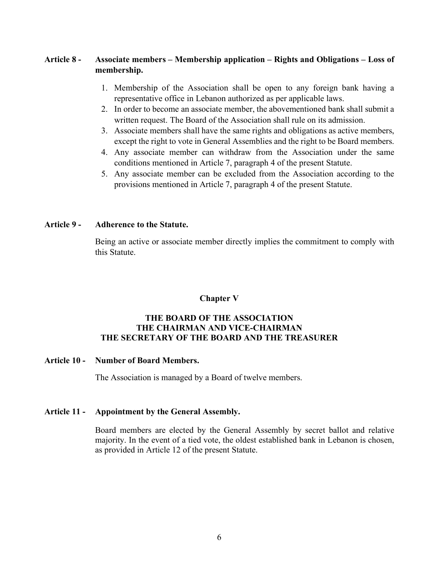## **Article 8 - Associate members – Membership application – Rights and Obligations – Loss of membership.**

- 1. Membership of the Association shall be open to any foreign bank having a representative office in Lebanon authorized as per applicable laws.
- 2. In order to become an associate member, the abovementioned bank shall submit a written request. The Board of the Association shall rule on its admission.
- 3. Associate members shall have the same rights and obligations as active members, except the right to vote in General Assemblies and the right to be Board members.
- 4. Any associate member can withdraw from the Association under the same conditions mentioned in Article 7, paragraph 4 of the present Statute.
- 5. Any associate member can be excluded from the Association according to the provisions mentioned in Article 7, paragraph 4 of the present Statute.

## **Article 9 - Adherence to the Statute.**

Being an active or associate member directly implies the commitment to comply with this Statute.

## **Chapter V**

## **THE BOARD OF THE ASSOCIATION THE CHAIRMAN AND VICE-CHAIRMAN THE SECRETARY OF THE BOARD AND THE TREASURER**

## **Article 10 - Number of Board Members.**

The Association is managed by a Board of twelve members.

## **Article 11 - Appointment by the General Assembly.**

Board members are elected by the General Assembly by secret ballot and relative majority. In the event of a tied vote, the oldest established bank in Lebanon is chosen, as provided in Article 12 of the present Statute.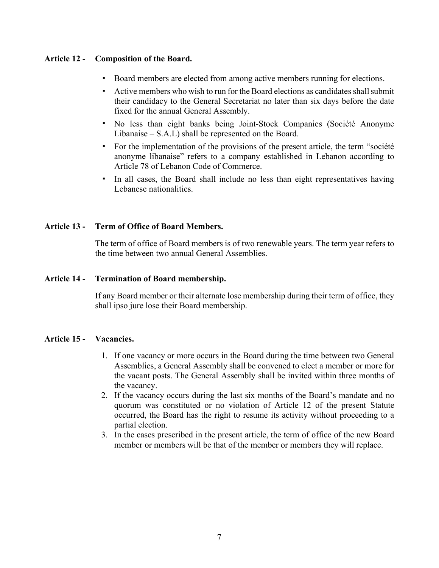## **Article 12 - Composition of the Board.**

- ! Board members are elected from among active members running for elections.
- " Active members who wish to run for the Board elections as candidates shall submit their candidacy to the General Secretariat no later than six days before the date fixed for the annual General Assembly.
- ! No less than eight banks being Joint-Stock Companies (Société Anonyme Libanaise – S.A.L) shall be represented on the Board.
- ! For the implementation of the provisions of the present article, the term "société anonyme libanaise" refers to a company established in Lebanon according to Article 78 of Lebanon Code of Commerce.
- ! In all cases, the Board shall include no less than eight representatives having Lebanese nationalities.

## **Article 13 - Term of Office of Board Members.**

The term of office of Board members is of two renewable years. The term year refers to the time between two annual General Assemblies.

## **Article 14 - Termination of Board membership.**

If any Board member or their alternate lose membership during their term of office, they shall ipso jure lose their Board membership.

## **Article 15 - Vacancies.**

- 1. If one vacancy or more occurs in the Board during the time between two General Assemblies, a General Assembly shall be convened to elect a member or more for the vacant posts. The General Assembly shall be invited within three months of the vacancy.
- 2. If the vacancy occurs during the last six months of the Board's mandate and no quorum was constituted or no violation of Article 12 of the present Statute occurred, the Board has the right to resume its activity without proceeding to a partial election.
- 3. In the cases prescribed in the present article, the term of office of the new Board member or members will be that of the member or members they will replace.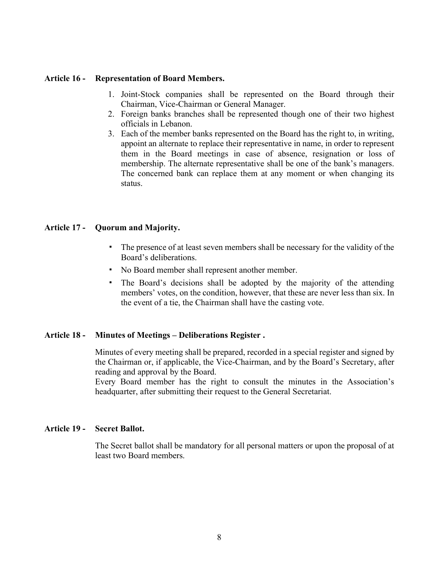## **Article 16 - Representation of Board Members.**

- 1. Joint-Stock companies shall be represented on the Board through their Chairman, Vice-Chairman or General Manager.
- 2. Foreign banks branches shall be represented though one of their two highest officials in Lebanon.
- 3. Each of the member banks represented on the Board has the right to, in writing, appoint an alternate to replace their representative in name, in order to represent them in the Board meetings in case of absence, resignation or loss of membership. The alternate representative shall be one of the bank's managers. The concerned bank can replace them at any moment or when changing its status.

## **Article 17 - Quorum and Majority.**

- ! The presence of at least seven members shall be necessary for the validity of the Board's deliberations.
- ! No Board member shall represent another member.
- ! The Board's decisions shall be adopted by the majority of the attending members' votes, on the condition, however, that these are never less than six. In the event of a tie, the Chairman shall have the casting vote.

## **Article 18 - Minutes of Meetings – Deliberations Register .**

Minutes of every meeting shall be prepared, recorded in a special register and signed by the Chairman or, if applicable, the Vice-Chairman, and by the Board's Secretary, after reading and approval by the Board.

Every Board member has the right to consult the minutes in the Association's headquarter, after submitting their request to the General Secretariat.

#### **Article 19 - Secret Ballot.**

The Secret ballot shall be mandatory for all personal matters or upon the proposal of at least two Board members.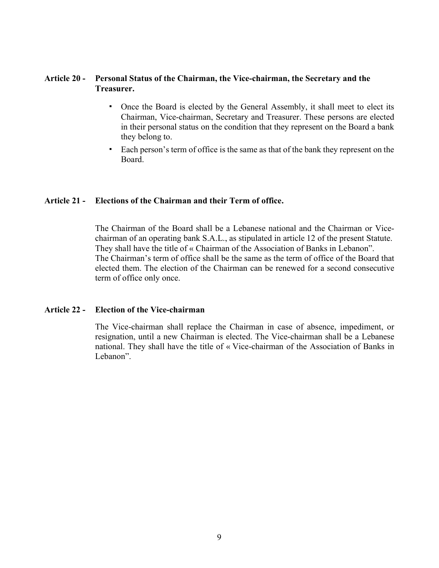## **Article 20 - Personal Status of the Chairman, the Vice-chairman, the Secretary and the Treasurer.**

- ! Once the Board is elected by the General Assembly, it shall meet to elect its Chairman, Vice-chairman, Secretary and Treasurer. These persons are elected in their personal status on the condition that they represent on the Board a bank they belong to.
- ! Each person's term of office is the same as that of the bank they represent on the Board.

## **Article 21 - Elections of the Chairman and their Term of office.**

The Chairman of the Board shall be a Lebanese national and the Chairman or Vicechairman of an operating bank S.A.L., as stipulated in article 12 of the present Statute. They shall have the title of « Chairman of the Association of Banks in Lebanon". The Chairman's term of office shall be the same as the term of office of the Board that elected them. The election of the Chairman can be renewed for a second consecutive term of office only once.

## **Article 22 - Election of the Vice-chairman**

The Vice-chairman shall replace the Chairman in case of absence, impediment, or resignation, until a new Chairman is elected. The Vice-chairman shall be a Lebanese national. They shall have the title of « Vice-chairman of the Association of Banks in Lebanon".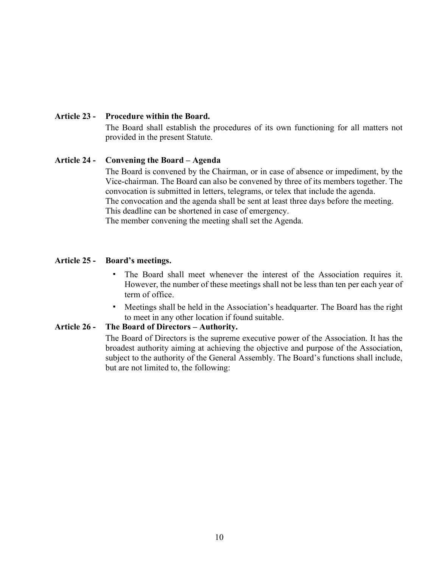## **Article 23 - Procedure within the Board.**

The Board shall establish the procedures of its own functioning for all matters not provided in the present Statute.

## **Article 24 - Convening the Board – Agenda**

The Board is convened by the Chairman, or in case of absence or impediment, by the Vice-chairman. The Board can also be convened by three of its members together. The convocation is submitted in letters, telegrams, or telex that include the agenda. The convocation and the agenda shall be sent at least three days before the meeting. This deadline can be shortened in case of emergency. The member convening the meeting shall set the Agenda.

## **Article 25 - Board's meetings.**

- ! The Board shall meet whenever the interest of the Association requires it. However, the number of these meetings shall not be less than ten per each year of term of office.
- ! Meetings shall be held in the Association's headquarter. The Board has the right to meet in any other location if found suitable.

## **Article 26 - The Board of Directors – Authority.**

The Board of Directors is the supreme executive power of the Association. It has the broadest authority aiming at achieving the objective and purpose of the Association, subject to the authority of the General Assembly. The Board's functions shall include, but are not limited to, the following: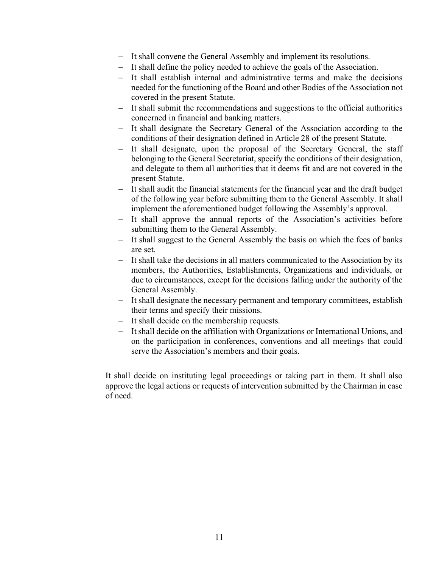- It shall convene the General Assembly and implement its resolutions.
- It shall define the policy needed to achieve the goals of the Association.
- It shall establish internal and administrative terms and make the decisions needed for the functioning of the Board and other Bodies of the Association not covered in the present Statute.
- It shall submit the recommendations and suggestions to the official authorities concerned in financial and banking matters.
- It shall designate the Secretary General of the Association according to the conditions of their designation defined in Article 28 of the present Statute.
- It shall designate, upon the proposal of the Secretary General, the staff belonging to the General Secretariat, specify the conditions of their designation, and delegate to them all authorities that it deems fit and are not covered in the present Statute.
- It shall audit the financial statements for the financial year and the draft budget of the following year before submitting them to the General Assembly. It shall implement the aforementioned budget following the Assembly's approval.
- It shall approve the annual reports of the Association's activities before submitting them to the General Assembly.
- It shall suggest to the General Assembly the basis on which the fees of banks are set.
- It shall take the decisions in all matters communicated to the Association by its members, the Authorities, Establishments, Organizations and individuals, or due to circumstances, except for the decisions falling under the authority of the General Assembly.
- It shall designate the necessary permanent and temporary committees, establish their terms and specify their missions.
- It shall decide on the membership requests.
- It shall decide on the affiliation with Organizations or International Unions, and on the participation in conferences, conventions and all meetings that could serve the Association's members and their goals.

It shall decide on instituting legal proceedings or taking part in them. It shall also approve the legal actions or requests of intervention submitted by the Chairman in case of need.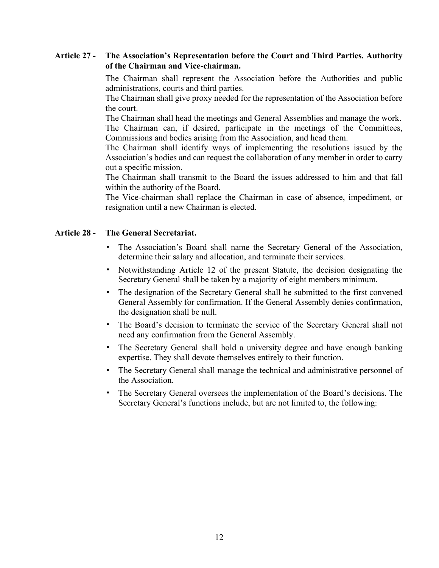## **Article 27 - The Association's Representation before the Court and Third Parties. Authority of the Chairman and Vice-chairman.**

The Chairman shall represent the Association before the Authorities and public administrations, courts and third parties.

The Chairman shall give proxy needed for the representation of the Association before the court.

The Chairman shall head the meetings and General Assemblies and manage the work. The Chairman can, if desired, participate in the meetings of the Committees, Commissions and bodies arising from the Association, and head them.

The Chairman shall identify ways of implementing the resolutions issued by the Association's bodies and can request the collaboration of any member in order to carry out a specific mission.

The Chairman shall transmit to the Board the issues addressed to him and that fall within the authority of the Board.

The Vice-chairman shall replace the Chairman in case of absence, impediment, or resignation until a new Chairman is elected.

## **Article 28 - The General Secretariat.**

- ! The Association's Board shall name the Secretary General of the Association, determine their salary and allocation, and terminate their services.
- ! Notwithstanding Article 12 of the present Statute, the decision designating the Secretary General shall be taken by a majority of eight members minimum.
- ! The designation of the Secretary General shall be submitted to the first convened General Assembly for confirmation. If the General Assembly denies confirmation, the designation shall be null.
- ! The Board's decision to terminate the service of the Secretary General shall not need any confirmation from the General Assembly.
- ! The Secretary General shall hold a university degree and have enough banking expertise. They shall devote themselves entirely to their function.
- ! The Secretary General shall manage the technical and administrative personnel of the Association.
- ! The Secretary General oversees the implementation of the Board's decisions. The Secretary General's functions include, but are not limited to, the following: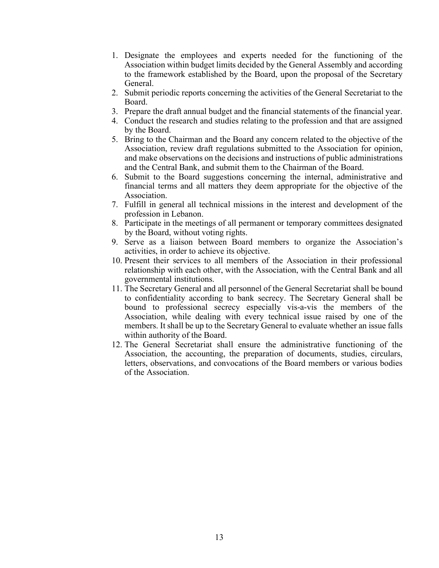- 1. Designate the employees and experts needed for the functioning of the Association within budget limits decided by the General Assembly and according to the framework established by the Board, upon the proposal of the Secretary General.
- 2. Submit periodic reports concerning the activities of the General Secretariat to the Board.
- 3. Prepare the draft annual budget and the financial statements of the financial year.
- 4. Conduct the research and studies relating to the profession and that are assigned by the Board.
- 5. Bring to the Chairman and the Board any concern related to the objective of the Association, review draft regulations submitted to the Association for opinion, and make observations on the decisions and instructions of public administrations and the Central Bank, and submit them to the Chairman of the Board.
- 6. Submit to the Board suggestions concerning the internal, administrative and financial terms and all matters they deem appropriate for the objective of the Association.
- 7. Fulfill in general all technical missions in the interest and development of the profession in Lebanon.
- 8. Participate in the meetings of all permanent or temporary committees designated by the Board, without voting rights.
- 9. Serve as a liaison between Board members to organize the Association's activities, in order to achieve its objective.
- 10. Present their services to all members of the Association in their professional relationship with each other, with the Association, with the Central Bank and all governmental institutions.
- 11. The Secretary General and all personnel of the General Secretariat shall be bound to confidentiality according to bank secrecy. The Secretary General shall be bound to professional secrecy especially vis-a-vis the members of the Association, while dealing with every technical issue raised by one of the members. It shall be up to the Secretary General to evaluate whether an issue falls within authority of the Board.
- 12. The General Secretariat shall ensure the administrative functioning of the Association, the accounting, the preparation of documents, studies, circulars, letters, observations, and convocations of the Board members or various bodies of the Association.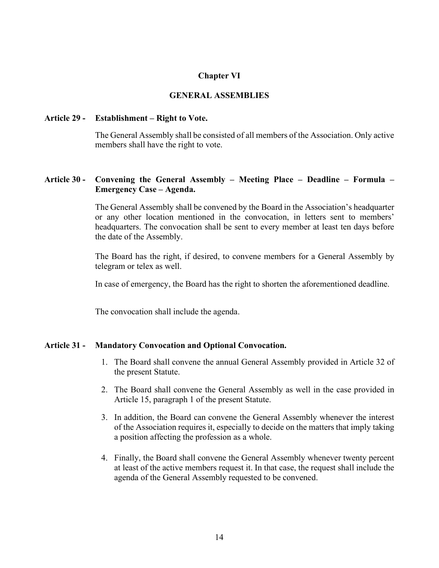## **Chapter VI**

## **GENERAL ASSEMBLIES**

#### **Article 29 - Establishment – Right to Vote.**

The General Assembly shall be consisted of all members of the Association. Only active members shall have the right to vote.

## **Article 30 - Convening the General Assembly – Meeting Place – Deadline – Formula – Emergency Case – Agenda.**

The General Assembly shall be convened by the Board in the Association's headquarter or any other location mentioned in the convocation, in letters sent to members' headquarters. The convocation shall be sent to every member at least ten days before the date of the Assembly.

The Board has the right, if desired, to convene members for a General Assembly by telegram or telex as well.

In case of emergency, the Board has the right to shorten the aforementioned deadline.

The convocation shall include the agenda.

### **Article 31 - Mandatory Convocation and Optional Convocation.**

- 1. The Board shall convene the annual General Assembly provided in Article 32 of the present Statute.
- 2. The Board shall convene the General Assembly as well in the case provided in Article 15, paragraph 1 of the present Statute.
- 3. In addition, the Board can convene the General Assembly whenever the interest of the Association requires it, especially to decide on the matters that imply taking a position affecting the profession as a whole.
- 4. Finally, the Board shall convene the General Assembly whenever twenty percent at least of the active members request it. In that case, the request shall include the agenda of the General Assembly requested to be convened.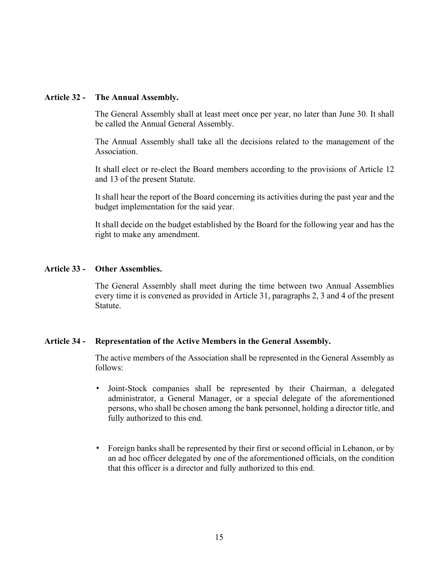## **Article 32 - The Annual Assembly.**

The General Assembly shall at least meet once per year, no later than June 30. It shall be called the Annual General Assembly.

The Annual Assembly shall take all the decisions related to the management of the Association.

It shall elect or re-elect the Board members according to the provisions of Article 12 and 13 of the present Statute.

It shall hear the report of the Board concerning its activities during the past year and the budget implementation for the said year.

It shall decide on the budget established by the Board for the following year and has the right to make any amendment.

## **Article 33 - Other Assemblies.**

The General Assembly shall meet during the time between two Annual Assemblies every time it is convened as provided in Article 31, paragraphs 2, 3 and 4 of the present Statute.

## **Article 34 - Representation of the Active Members in the General Assembly.**

The active members of the Association shall be represented in the General Assembly as follows:

- ! Joint-Stock companies shall be represented by their Chairman, a delegated administrator, a General Manager, or a special delegate of the aforementioned persons, who shall be chosen among the bank personnel, holding a director title, and fully authorized to this end.
- ! Foreign banks shall be represented by their first or second official in Lebanon, or by an ad hoc officer delegated by one of the aforementioned officials, on the condition that this officer is a director and fully authorized to this end.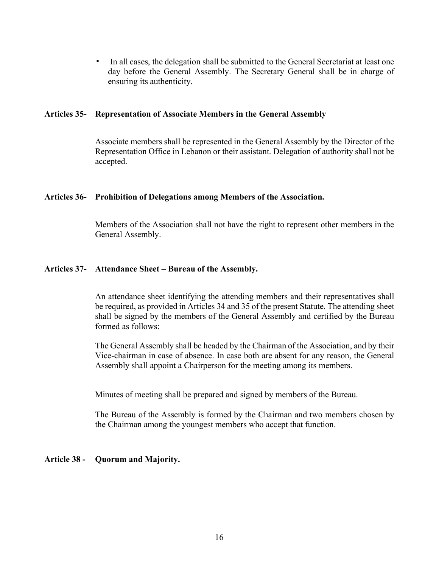! In all cases, the delegation shall be submitted to the General Secretariat at least one day before the General Assembly. The Secretary General shall be in charge of ensuring its authenticity.

## **Articles 35- Representation of Associate Members in the General Assembly**

Associate members shall be represented in the General Assembly by the Director of the Representation Office in Lebanon or their assistant. Delegation of authority shall not be accepted.

## **Articles 36- Prohibition of Delegations among Members of the Association.**

Members of the Association shall not have the right to represent other members in the General Assembly.

## **Articles 37- Attendance Sheet – Bureau of the Assembly.**

An attendance sheet identifying the attending members and their representatives shall be required, as provided in Articles 34 and 35 of the present Statute. The attending sheet shall be signed by the members of the General Assembly and certified by the Bureau formed as follows:

The General Assembly shall be headed by the Chairman of the Association, and by their Vice-chairman in case of absence. In case both are absent for any reason, the General Assembly shall appoint a Chairperson for the meeting among its members.

Minutes of meeting shall be prepared and signed by members of the Bureau.

The Bureau of the Assembly is formed by the Chairman and two members chosen by the Chairman among the youngest members who accept that function.

## **Article 38 - Quorum and Majority.**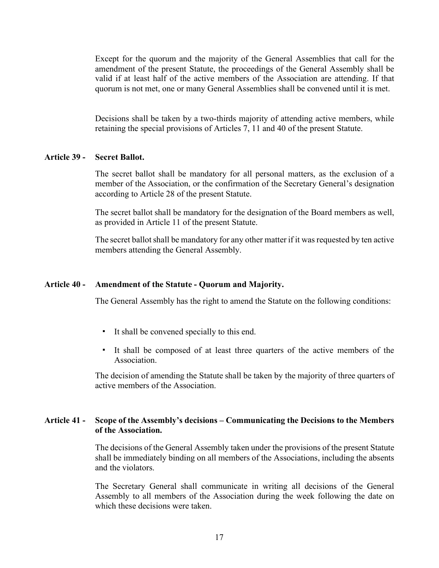Except for the quorum and the majority of the General Assemblies that call for the amendment of the present Statute, the proceedings of the General Assembly shall be valid if at least half of the active members of the Association are attending. If that quorum is not met, one or many General Assemblies shall be convened until it is met.

Decisions shall be taken by a two-thirds majority of attending active members, while retaining the special provisions of Articles 7, 11 and 40 of the present Statute.

#### **Article 39 - Secret Ballot.**

The secret ballot shall be mandatory for all personal matters, as the exclusion of a member of the Association, or the confirmation of the Secretary General's designation according to Article 28 of the present Statute.

The secret ballot shall be mandatory for the designation of the Board members as well, as provided in Article 11 of the present Statute.

The secret ballot shall be mandatory for any other matter if it was requested by ten active members attending the General Assembly.

#### **Article 40 - Amendment of the Statute - Quorum and Majority.**

The General Assembly has the right to amend the Statute on the following conditions:

- ! It shall be convened specially to this end.
- ! It shall be composed of at least three quarters of the active members of the Association.

The decision of amending the Statute shall be taken by the majority of three quarters of active members of the Association.

## **Article 41 - Scope of the Assembly's decisions – Communicating the Decisions to the Members of the Association.**

The decisions of the General Assembly taken under the provisions of the present Statute shall be immediately binding on all members of the Associations, including the absents and the violators.

The Secretary General shall communicate in writing all decisions of the General Assembly to all members of the Association during the week following the date on which these decisions were taken.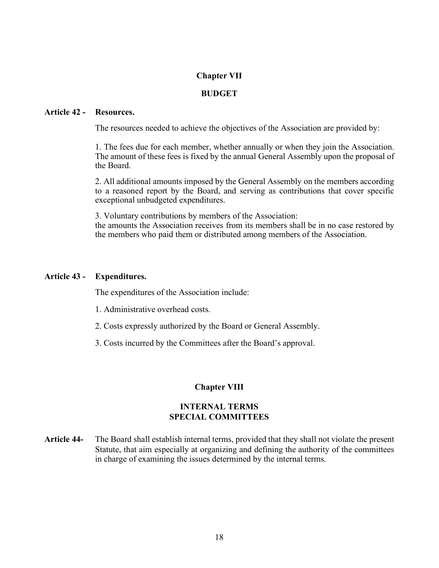## **Chapter VII**

## **BUDGET**

#### **Article 42 - Resources.**

The resources needed to achieve the objectives of the Association are provided by:

1. The fees due for each member, whether annually or when they join the Association. The amount of these fees is fixed by the annual General Assembly upon the proposal of the Board.

2. All additional amounts imposed by the General Assembly on the members according to a reasoned report by the Board, and serving as contributions that cover specific exceptional unbudgeted expenditures.

3. Voluntary contributions by members of the Association: the amounts the Association receives from its members shall be in no case restored by the members who paid them or distributed among members of the Association.

#### **Article 43 - Expenditures.**

The expenditures of the Association include:

- 1. Administrative overhead costs.
- 2. Costs expressly authorized by the Board or General Assembly.
- 3. Costs incurred by the Committees after the Board's approval.

## **Chapter VIII**

## **INTERNAL TERMS SPECIAL COMMITTEES**

**Article 44-** The Board shall establish internal terms, provided that they shall not violate the present Statute, that aim especially at organizing and defining the authority of the committees in charge of examining the issues determined by the internal terms.